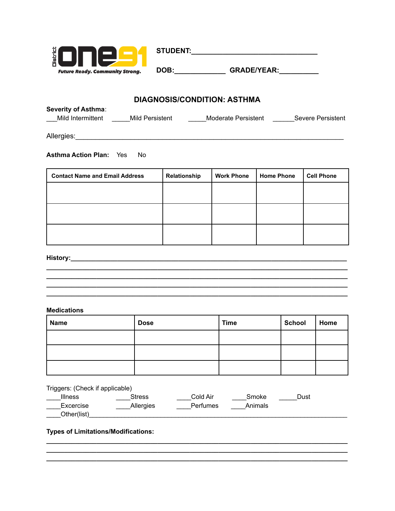|                                        | <b>STUDENT:</b> |                    |
|----------------------------------------|-----------------|--------------------|
| 흚                                      |                 |                    |
| <b>Future Ready. Community Strong.</b> | DOB:            | <b>GRADE/YEAR:</b> |

<u> 1989 - Johann Stoff, amerikansk politiker (\* 1908)</u>

# **DIAGNOSIS/CONDITION: ASTHMA**

| <b>Severity of Asthma:</b> |                 |                     |                          |
|----------------------------|-----------------|---------------------|--------------------------|
| Mild Intermittent          | Mild Persistent | Moderate Persistent | <b>Severe Persistent</b> |

**Asthma Action Plan: Yes** No.

| <b>Contact Name and Email Address</b> | Relationship | <b>Work Phone</b> | <b>Home Phone</b> | <b>Cell Phone</b> |
|---------------------------------------|--------------|-------------------|-------------------|-------------------|
|                                       |              |                   |                   |                   |
|                                       |              |                   |                   |                   |
|                                       |              |                   |                   |                   |
|                                       |              |                   |                   |                   |
|                                       |              |                   |                   |                   |
|                                       |              |                   |                   |                   |

## 

### **Medications**

| <b>Name</b> | <b>Dose</b> | <b>Time</b> | <b>School</b> | Home |
|-------------|-------------|-------------|---------------|------|
|             |             |             |               |      |
|             |             |             |               |      |
|             |             |             |               |      |

| Triggers: (Check if applicable) |           |          |         |      |  |
|---------------------------------|-----------|----------|---------|------|--|
| <b>Illness</b>                  | Stress    | Cold Air | Smoke   | Dust |  |
| Excercise                       | Allergies | Perfumes | Animals |      |  |
| Other(list)                     |           |          |         |      |  |

**Types of Limitations/Modifications:**